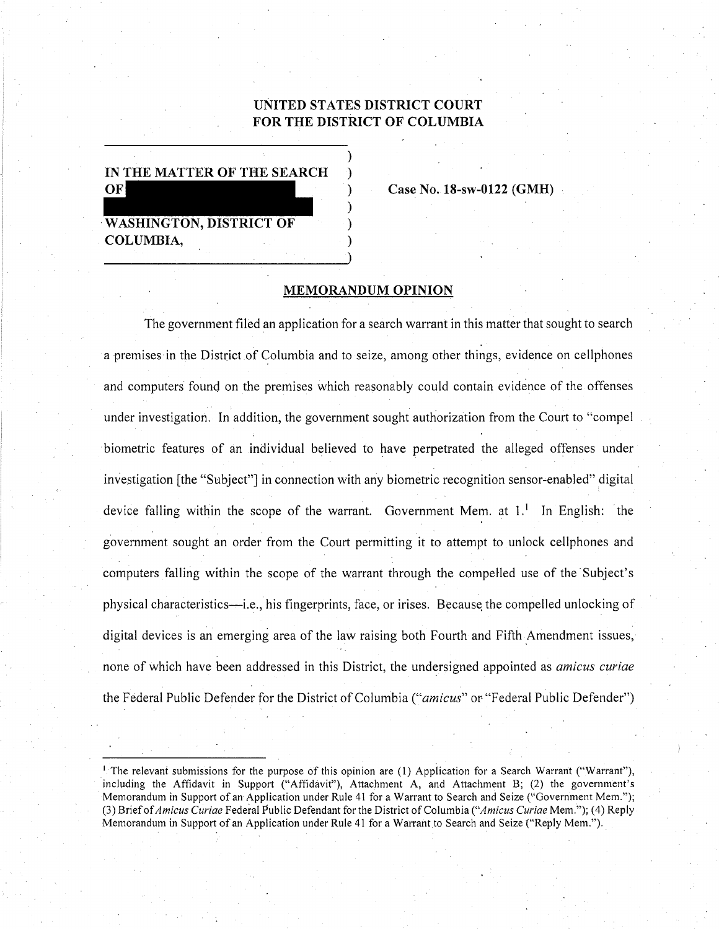# UNITED STATES DISTRICT COURT FOR THE DISTRICT OF COLUMBIA

IN THE MATTER OF THE SEARCH  $OF$ **WASHINGTON, DISTRICT OF** COLUMBIA,

Case No. 18-sw-0122 (GMH)

### **MEMORANDUM OPINION**

The government filed an application for a search warrant in this matter that sought to search a premises in the District of Columbia and to seize, among other things, evidence on cellphones and computers found on the premises which reasonably could contain evidence of the offenses under investigation. In addition, the government sought authorization from the Court to "compel" biometric features of an individual believed to have perpetrated the alleged offenses under investigation [the "Subject"] in connection with any biometric recognition sensor-enabled" digital device falling within the scope of the warrant. Government Mem. at 1.<sup>1</sup> In English: the government sought an order from the Court permitting it to attempt to unlock cellphones and computers falling within the scope of the warrant through the compelled use of the Subject's physical characteristics—i.e., his fingerprints, face, or irises. Because the compelled unlocking of digital devices is an emerging area of the law raising both Fourth and Fifth Amendment issues, none of which have been addressed in this District, the undersigned appointed as *amicus curiae* the Federal Public Defender for the District of Columbia ("amicus" or "Federal Public Defender")

The relevant submissions for the purpose of this opinion are (1) Application for a Search Warrant ("Warrant"), including the Affidavit in Support ("Affidavit"), Attachment A, and Attachment B; (2) the government's Memorandum in Support of an Application under Rule 41 for a Warrant to Search and Seize ("Government Mem."); (3) Brief of Amicus Curiae Federal Public Defendant for the District of Columbia ("Amicus Curiae Mem."); (4) Reply Memorandum in Support of an Application under Rule 41 for a Warrant to Search and Seize ("Reply Mem.").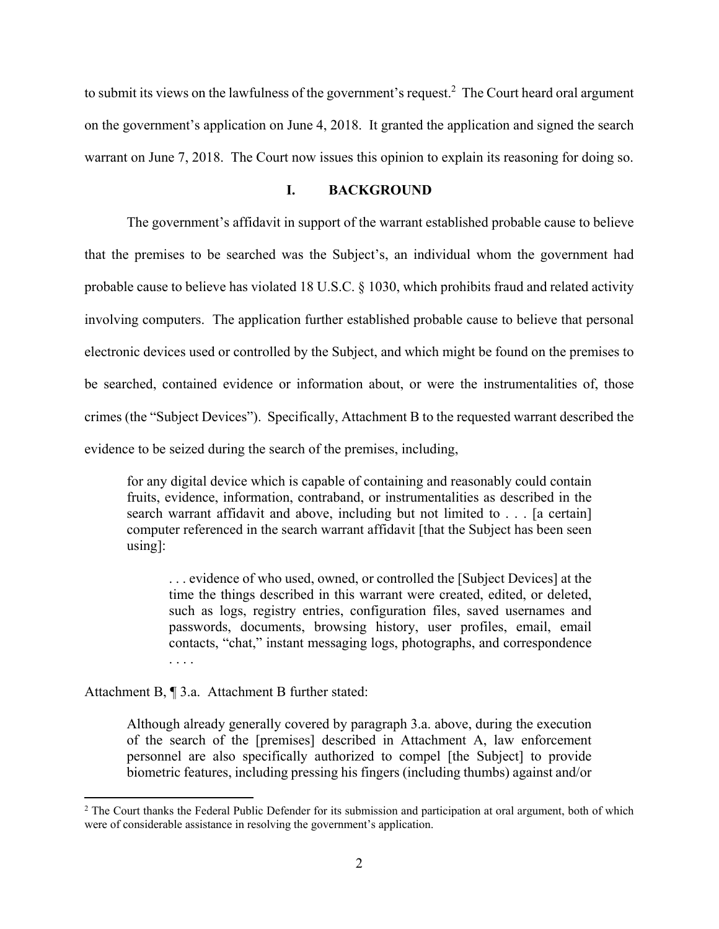to submit its views on the lawfulness of the government's request.<sup>2</sup> The Court heard oral argument on the government's application on June 4, 2018. It granted the application and signed the search warrant on June 7, 2018. The Court now issues this opinion to explain its reasoning for doing so.

# **I. BACKGROUND**

 The government's affidavit in support of the warrant established probable cause to believe that the premises to be searched was the Subject's, an individual whom the government had probable cause to believe has violated 18 U.S.C. § 1030, which prohibits fraud and related activity involving computers. The application further established probable cause to believe that personal electronic devices used or controlled by the Subject, and which might be found on the premises to be searched, contained evidence or information about, or were the instrumentalities of, those crimes (the "Subject Devices"). Specifically, Attachment B to the requested warrant described the evidence to be seized during the search of the premises, including,

for any digital device which is capable of containing and reasonably could contain fruits, evidence, information, contraband, or instrumentalities as described in the search warrant affidavit and above, including but not limited to . . . [a certain] computer referenced in the search warrant affidavit [that the Subject has been seen using]:

. . . evidence of who used, owned, or controlled the [Subject Devices] at the time the things described in this warrant were created, edited, or deleted, such as logs, registry entries, configuration files, saved usernames and passwords, documents, browsing history, user profiles, email, email contacts, "chat," instant messaging logs, photographs, and correspondence

Attachment B, ¶ 3.a. Attachment B further stated:

Although already generally covered by paragraph 3.a. above, during the execution of the search of the [premises] described in Attachment A, law enforcement personnel are also specifically authorized to compel [the Subject] to provide biometric features, including pressing his fingers (including thumbs) against and/or

<sup>&</sup>lt;sup>2</sup> The Court thanks the Federal Public Defender for its submission and participation at oral argument, both of which were of considerable assistance in resolving the government's application.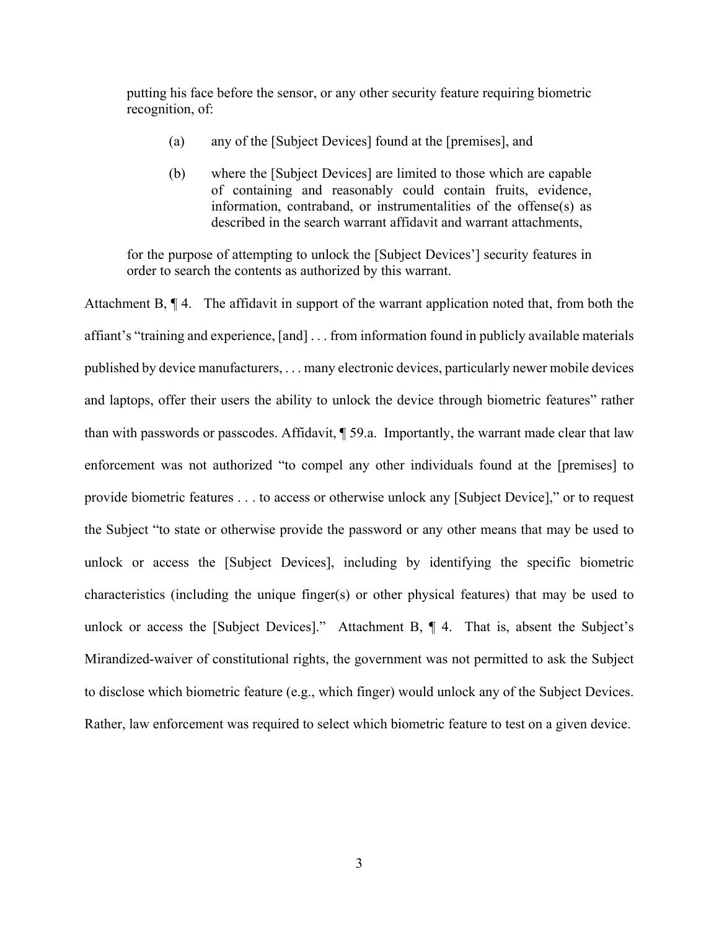putting his face before the sensor, or any other security feature requiring biometric recognition, of:

- (a) any of the [Subject Devices] found at the [premises], and
- (b) where the [Subject Devices] are limited to those which are capable of containing and reasonably could contain fruits, evidence, information, contraband, or instrumentalities of the offense(s) as described in the search warrant affidavit and warrant attachments,

for the purpose of attempting to unlock the [Subject Devices'] security features in order to search the contents as authorized by this warrant.

Attachment B, ¶ 4. The affidavit in support of the warrant application noted that, from both the affiant's "training and experience, [and] . . . from information found in publicly available materials published by device manufacturers, . . . many electronic devices, particularly newer mobile devices and laptops, offer their users the ability to unlock the device through biometric features" rather than with passwords or passcodes. Affidavit, ¶ 59.a. Importantly, the warrant made clear that law enforcement was not authorized "to compel any other individuals found at the [premises] to provide biometric features . . . to access or otherwise unlock any [Subject Device]," or to request the Subject "to state or otherwise provide the password or any other means that may be used to unlock or access the [Subject Devices], including by identifying the specific biometric characteristics (including the unique finger(s) or other physical features) that may be used to unlock or access the [Subject Devices]." Attachment B, ¶ 4. That is, absent the Subject's Mirandized-waiver of constitutional rights, the government was not permitted to ask the Subject to disclose which biometric feature (e.g., which finger) would unlock any of the Subject Devices. Rather, law enforcement was required to select which biometric feature to test on a given device.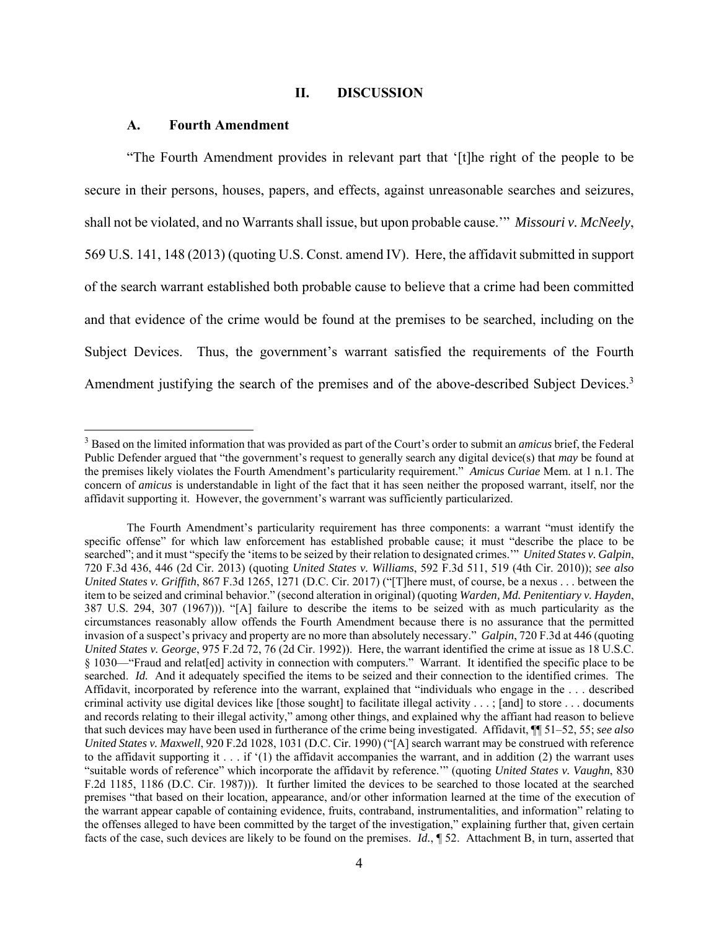# **II. DISCUSSION**

#### **A. Fourth Amendment**

 "The Fourth Amendment provides in relevant part that '[t]he right of the people to be secure in their persons, houses, papers, and effects, against unreasonable searches and seizures, shall not be violated, and no Warrants shall issue, but upon probable cause.'" *Missouri v. McNeely*, 569 U.S. 141, 148 (2013) (quoting U.S. Const. amend IV). Here, the affidavit submitted in support of the search warrant established both probable cause to believe that a crime had been committed and that evidence of the crime would be found at the premises to be searched, including on the Subject Devices. Thus, the government's warrant satisfied the requirements of the Fourth Amendment justifying the search of the premises and of the above-described Subject Devices.<sup>3</sup>

<sup>3</sup> Based on the limited information that was provided as part of the Court's order to submit an *amicus* brief, the Federal Public Defender argued that "the government's request to generally search any digital device(s) that *may* be found at the premises likely violates the Fourth Amendment's particularity requirement." *Amicus Curiae* Mem. at 1 n.1. The concern of *amicus* is understandable in light of the fact that it has seen neither the proposed warrant, itself, nor the affidavit supporting it. However, the government's warrant was sufficiently particularized.

The Fourth Amendment's particularity requirement has three components: a warrant "must identify the specific offense" for which law enforcement has established probable cause; it must "describe the place to be searched"; and it must "specify the 'items to be seized by their relation to designated crimes.'" *United States v. Galpin*, 720 F.3d 436, 446 (2d Cir. 2013) (quoting *United States v. Williams*, 592 F.3d 511, 519 (4th Cir. 2010)); *see also United States v. Griffith*, 867 F.3d 1265, 1271 (D.C. Cir. 2017) ("[T]here must, of course, be a nexus . . . between the item to be seized and criminal behavior." (second alteration in original) (quoting *Warden, Md. Penitentiary v. Hayden*, 387 U.S. 294, 307 (1967))). "[A] failure to describe the items to be seized with as much particularity as the circumstances reasonably allow offends the Fourth Amendment because there is no assurance that the permitted invasion of a suspect's privacy and property are no more than absolutely necessary." *Galpin*, 720 F.3d at 446 (quoting *United States v. George*, 975 F.2d 72, 76 (2d Cir. 1992)). Here, the warrant identified the crime at issue as 18 U.S.C. § 1030—"Fraud and relat[ed] activity in connection with computers." Warrant. It identified the specific place to be searched. *Id.* And it adequately specified the items to be seized and their connection to the identified crimes. The Affidavit, incorporated by reference into the warrant, explained that "individuals who engage in the . . . described criminal activity use digital devices like [those sought] to facilitate illegal activity  $\dots$ ; [and] to store  $\dots$  documents and records relating to their illegal activity," among other things, and explained why the affiant had reason to believe that such devices may have been used in furtherance of the crime being investigated. Affidavit, ¶¶ 51–52, 55; *see also United States v. Maxwell*, 920 F.2d 1028, 1031 (D.C. Cir. 1990) ("[A] search warrant may be construed with reference to the affidavit supporting it . . . if '(1) the affidavit accompanies the warrant, and in addition (2) the warrant uses "suitable words of reference" which incorporate the affidavit by reference.'" (quoting *United States v. Vaughn*, 830 F.2d 1185, 1186 (D.C. Cir. 1987))). It further limited the devices to be searched to those located at the searched premises "that based on their location, appearance, and/or other information learned at the time of the execution of the warrant appear capable of containing evidence, fruits, contraband, instrumentalities, and information" relating to the offenses alleged to have been committed by the target of the investigation," explaining further that, given certain facts of the case, such devices are likely to be found on the premises. *Id.*, ¶ 52. Attachment B, in turn, asserted that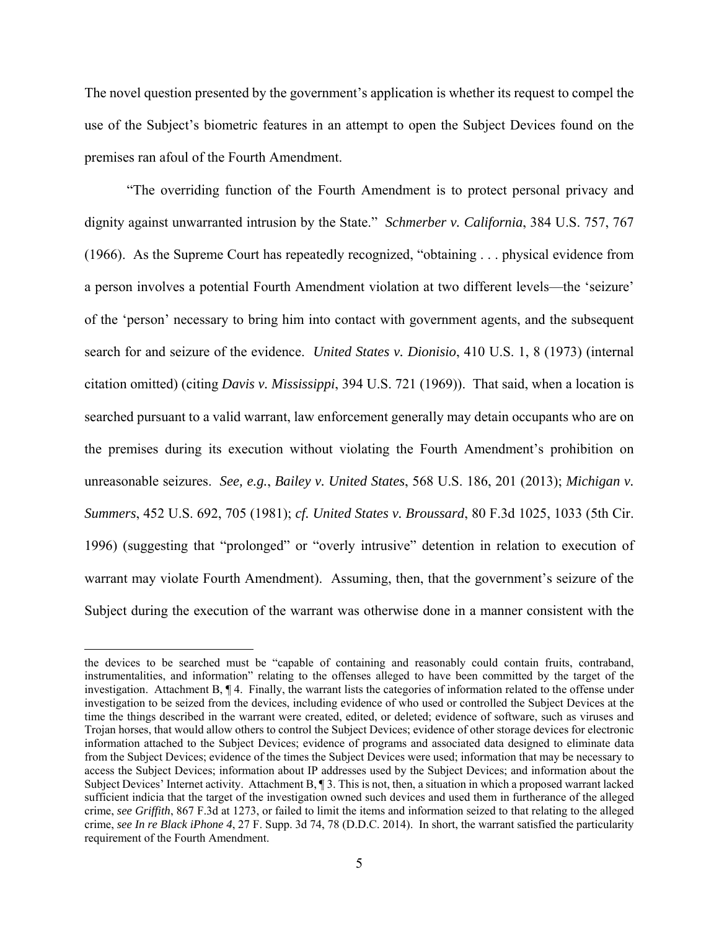The novel question presented by the government's application is whether its request to compel the use of the Subject's biometric features in an attempt to open the Subject Devices found on the premises ran afoul of the Fourth Amendment.

"The overriding function of the Fourth Amendment is to protect personal privacy and dignity against unwarranted intrusion by the State." *Schmerber v. California*, 384 U.S. 757, 767 (1966). As the Supreme Court has repeatedly recognized, "obtaining . . . physical evidence from a person involves a potential Fourth Amendment violation at two different levels—the 'seizure' of the 'person' necessary to bring him into contact with government agents, and the subsequent search for and seizure of the evidence. *United States v. Dionisio*, 410 U.S. 1, 8 (1973) (internal citation omitted) (citing *Davis v. Mississippi*, 394 U.S. 721 (1969)). That said, when a location is searched pursuant to a valid warrant, law enforcement generally may detain occupants who are on the premises during its execution without violating the Fourth Amendment's prohibition on unreasonable seizures. *See, e.g.*, *Bailey v. United States*, 568 U.S. 186, 201 (2013); *Michigan v. Summers*, 452 U.S. 692, 705 (1981); *cf. United States v. Broussard*, 80 F.3d 1025, 1033 (5th Cir. 1996) (suggesting that "prolonged" or "overly intrusive" detention in relation to execution of warrant may violate Fourth Amendment). Assuming, then, that the government's seizure of the Subject during the execution of the warrant was otherwise done in a manner consistent with the

the devices to be searched must be "capable of containing and reasonably could contain fruits, contraband, instrumentalities, and information" relating to the offenses alleged to have been committed by the target of the investigation. Attachment B, ¶ 4. Finally, the warrant lists the categories of information related to the offense under investigation to be seized from the devices, including evidence of who used or controlled the Subject Devices at the time the things described in the warrant were created, edited, or deleted; evidence of software, such as viruses and Trojan horses, that would allow others to control the Subject Devices; evidence of other storage devices for electronic information attached to the Subject Devices; evidence of programs and associated data designed to eliminate data from the Subject Devices; evidence of the times the Subject Devices were used; information that may be necessary to access the Subject Devices; information about IP addresses used by the Subject Devices; and information about the Subject Devices' Internet activity. Attachment B, ¶ 3. This is not, then, a situation in which a proposed warrant lacked sufficient indicia that the target of the investigation owned such devices and used them in furtherance of the alleged crime, *see Griffith*, 867 F.3d at 1273, or failed to limit the items and information seized to that relating to the alleged crime, *see In re Black iPhone 4*, 27 F. Supp. 3d 74, 78 (D.D.C. 2014). In short, the warrant satisfied the particularity requirement of the Fourth Amendment.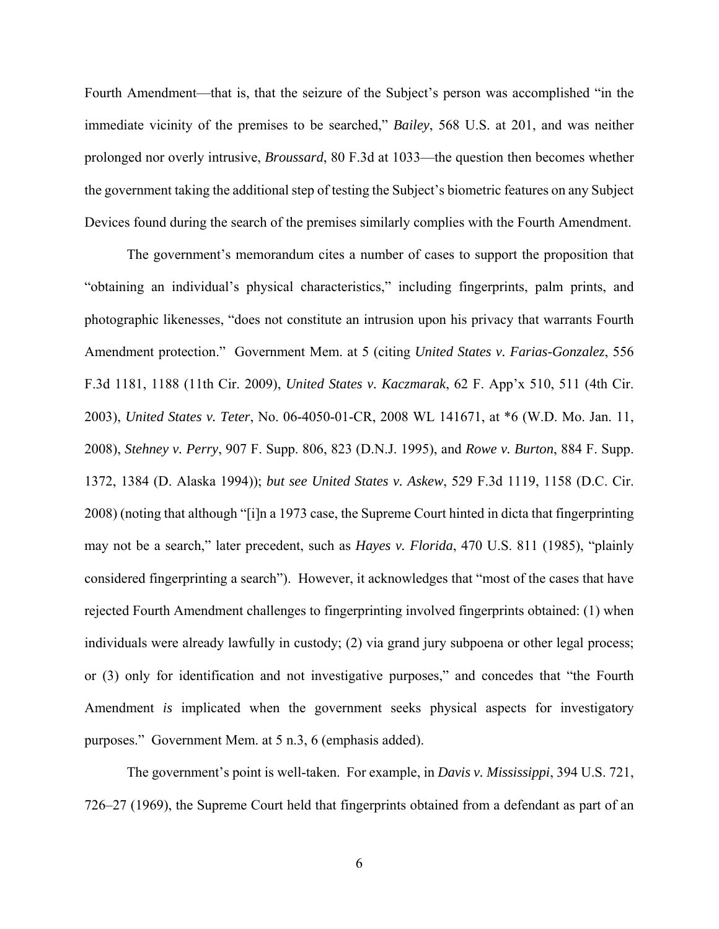Fourth Amendment—that is, that the seizure of the Subject's person was accomplished "in the immediate vicinity of the premises to be searched," *Bailey*, 568 U.S. at 201, and was neither prolonged nor overly intrusive, *Broussard*, 80 F.3d at 1033—the question then becomes whether the government taking the additional step of testing the Subject's biometric features on any Subject Devices found during the search of the premises similarly complies with the Fourth Amendment.

 The government's memorandum cites a number of cases to support the proposition that "obtaining an individual's physical characteristics," including fingerprints, palm prints, and photographic likenesses, "does not constitute an intrusion upon his privacy that warrants Fourth Amendment protection." Government Mem. at 5 (citing *United States v. Farias-Gonzalez*, 556 F.3d 1181, 1188 (11th Cir. 2009), *United States v. Kaczmarak*, 62 F. App'x 510, 511 (4th Cir. 2003), *United States v. Teter*, No. 06-4050-01-CR, 2008 WL 141671, at \*6 (W.D. Mo. Jan. 11, 2008), *Stehney v. Perry*, 907 F. Supp. 806, 823 (D.N.J. 1995), and *Rowe v. Burton*, 884 F. Supp. 1372, 1384 (D. Alaska 1994)); *but see United States v. Askew*, 529 F.3d 1119, 1158 (D.C. Cir. 2008) (noting that although "[i]n a 1973 case, the Supreme Court hinted in dicta that fingerprinting may not be a search," later precedent, such as *Hayes v. Florida*, 470 U.S. 811 (1985), "plainly considered fingerprinting a search"). However, it acknowledges that "most of the cases that have rejected Fourth Amendment challenges to fingerprinting involved fingerprints obtained: (1) when individuals were already lawfully in custody; (2) via grand jury subpoena or other legal process; or (3) only for identification and not investigative purposes," and concedes that "the Fourth Amendment *is* implicated when the government seeks physical aspects for investigatory purposes." Government Mem. at 5 n.3, 6 (emphasis added).

The government's point is well-taken. For example, in *Davis v. Mississippi*, 394 U.S. 721, 726–27 (1969), the Supreme Court held that fingerprints obtained from a defendant as part of an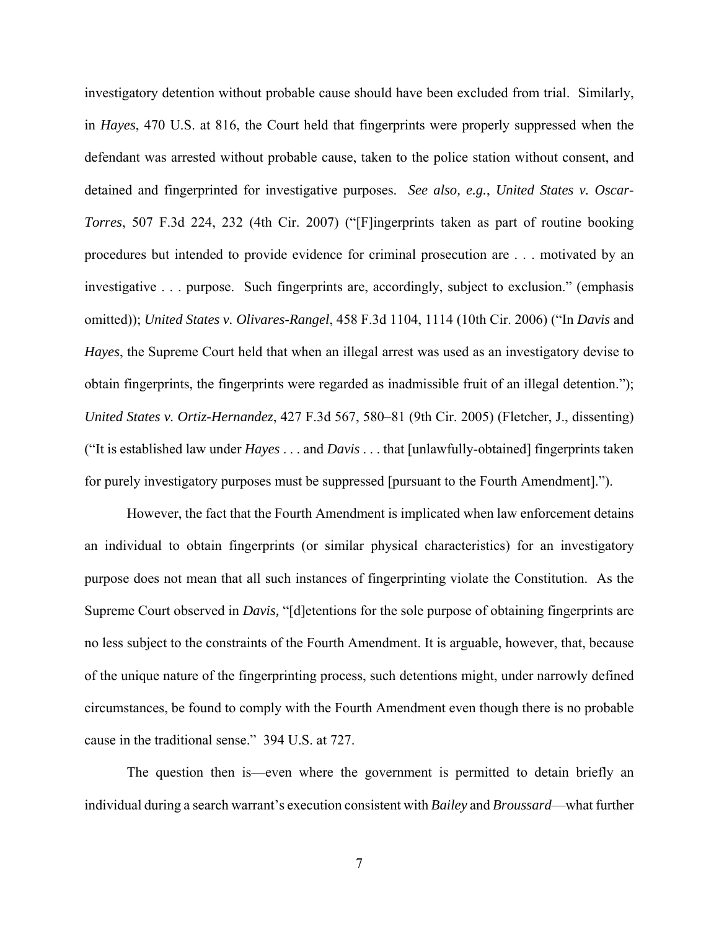investigatory detention without probable cause should have been excluded from trial. Similarly, in *Hayes*, 470 U.S. at 816, the Court held that fingerprints were properly suppressed when the defendant was arrested without probable cause, taken to the police station without consent, and detained and fingerprinted for investigative purposes. *See also, e.g.*, *United States v. Oscar-Torres*, 507 F.3d 224, 232 (4th Cir. 2007) ("[F]ingerprints taken as part of routine booking procedures but intended to provide evidence for criminal prosecution are . . . motivated by an investigative . . . purpose. Such fingerprints are, accordingly, subject to exclusion." (emphasis omitted)); *United States v. Olivares-Rangel*, 458 F.3d 1104, 1114 (10th Cir. 2006) ("In *Davis* and *Hayes*, the Supreme Court held that when an illegal arrest was used as an investigatory devise to obtain fingerprints, the fingerprints were regarded as inadmissible fruit of an illegal detention."); *United States v. Ortiz-Hernandez*, 427 F.3d 567, 580–81 (9th Cir. 2005) (Fletcher, J., dissenting) ("It is established law under *Hayes* . . . and *Davis* . . . that [unlawfully-obtained] fingerprints taken for purely investigatory purposes must be suppressed [pursuant to the Fourth Amendment].").

However, the fact that the Fourth Amendment is implicated when law enforcement detains an individual to obtain fingerprints (or similar physical characteristics) for an investigatory purpose does not mean that all such instances of fingerprinting violate the Constitution. As the Supreme Court observed in *Davis,* "[d]etentions for the sole purpose of obtaining fingerprints are no less subject to the constraints of the Fourth Amendment. It is arguable, however, that, because of the unique nature of the fingerprinting process, such detentions might, under narrowly defined circumstances, be found to comply with the Fourth Amendment even though there is no probable cause in the traditional sense."394 U.S. at 727.

The question then is—even where the government is permitted to detain briefly an individual during a search warrant's execution consistent with *Bailey* and *Broussard*—what further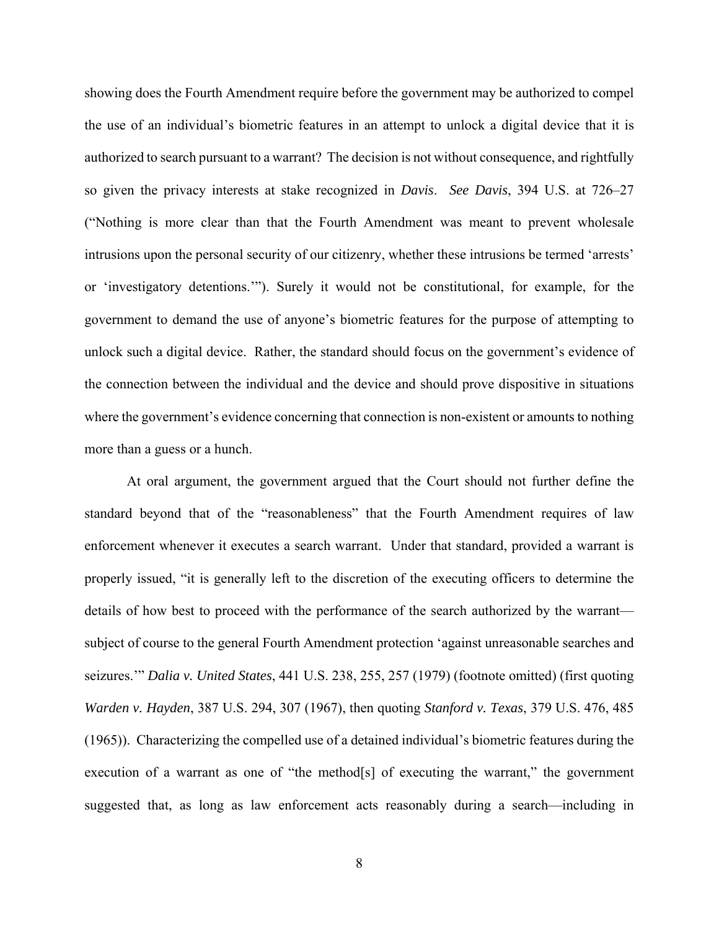showing does the Fourth Amendment require before the government may be authorized to compel the use of an individual's biometric features in an attempt to unlock a digital device that it is authorized to search pursuant to a warrant? The decision is not without consequence, and rightfully so given the privacy interests at stake recognized in *Davis*. *See Davis*, 394 U.S. at 726–27 ("Nothing is more clear than that the Fourth Amendment was meant to prevent wholesale intrusions upon the personal security of our citizenry, whether these intrusions be termed 'arrests' or 'investigatory detentions.'"). Surely it would not be constitutional, for example, for the government to demand the use of anyone's biometric features for the purpose of attempting to unlock such a digital device. Rather, the standard should focus on the government's evidence of the connection between the individual and the device and should prove dispositive in situations where the government's evidence concerning that connection is non-existent or amounts to nothing more than a guess or a hunch.

 At oral argument, the government argued that the Court should not further define the standard beyond that of the "reasonableness" that the Fourth Amendment requires of law enforcement whenever it executes a search warrant. Under that standard, provided a warrant is properly issued, "it is generally left to the discretion of the executing officers to determine the details of how best to proceed with the performance of the search authorized by the warrant subject of course to the general Fourth Amendment protection 'against unreasonable searches and seizures.'" *Dalia v. United States*, 441 U.S. 238, 255, 257 (1979) (footnote omitted) (first quoting *Warden v. Hayden*, 387 U.S. 294, 307 (1967), then quoting *Stanford v. Texas*, 379 U.S. 476, 485 (1965)). Characterizing the compelled use of a detained individual's biometric features during the execution of a warrant as one of "the method[s] of executing the warrant," the government suggested that, as long as law enforcement acts reasonably during a search—including in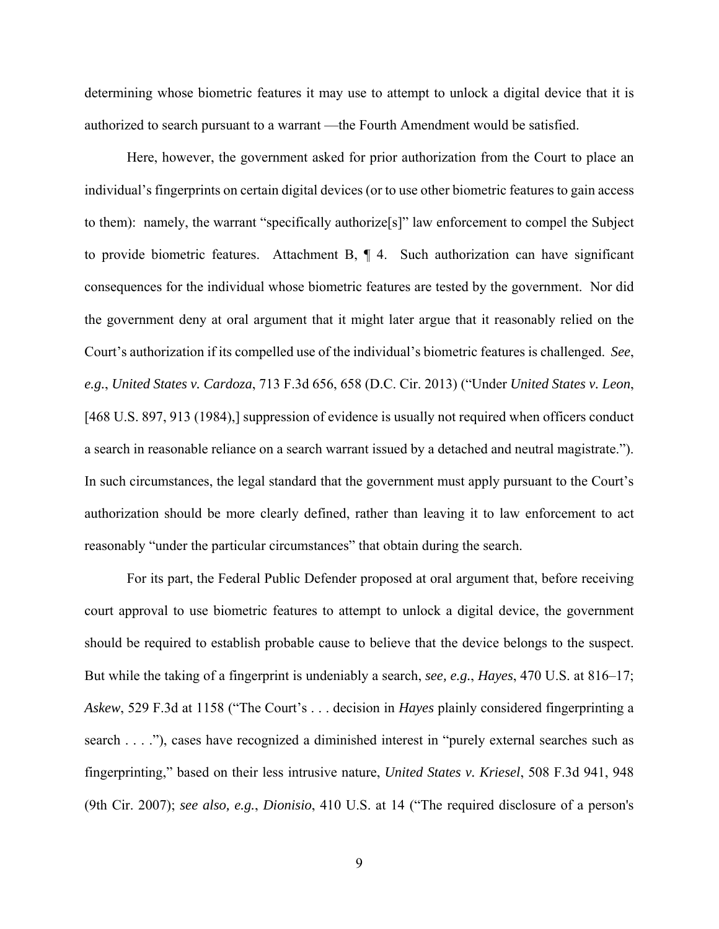determining whose biometric features it may use to attempt to unlock a digital device that it is authorized to search pursuant to a warrant —the Fourth Amendment would be satisfied.

Here, however, the government asked for prior authorization from the Court to place an individual's fingerprints on certain digital devices (or to use other biometric features to gain access to them): namely, the warrant "specifically authorize[s]" law enforcement to compel the Subject to provide biometric features. Attachment B, ¶ 4. Such authorization can have significant consequences for the individual whose biometric features are tested by the government. Nor did the government deny at oral argument that it might later argue that it reasonably relied on the Court's authorization if its compelled use of the individual's biometric features is challenged. *See*, *e.g.*, *United States v. Cardoza*, 713 F.3d 656, 658 (D.C. Cir. 2013) ("Under *United States v. Leon*, [468 U.S. 897, 913 (1984),] suppression of evidence is usually not required when officers conduct a search in reasonable reliance on a search warrant issued by a detached and neutral magistrate."). In such circumstances, the legal standard that the government must apply pursuant to the Court's authorization should be more clearly defined, rather than leaving it to law enforcement to act reasonably "under the particular circumstances" that obtain during the search.

For its part, the Federal Public Defender proposed at oral argument that, before receiving court approval to use biometric features to attempt to unlock a digital device, the government should be required to establish probable cause to believe that the device belongs to the suspect. But while the taking of a fingerprint is undeniably a search, *see, e.g.*, *Hayes*, 470 U.S. at 816–17; *Askew*, 529 F.3d at 1158 ("The Court's . . . decision in *Hayes* plainly considered fingerprinting a search . . . ."), cases have recognized a diminished interest in "purely external searches such as fingerprinting," based on their less intrusive nature, *United States v. Kriesel*, 508 F.3d 941, 948 (9th Cir. 2007); *see also, e.g.*, *Dionisio*, 410 U.S. at 14 ("The required disclosure of a person's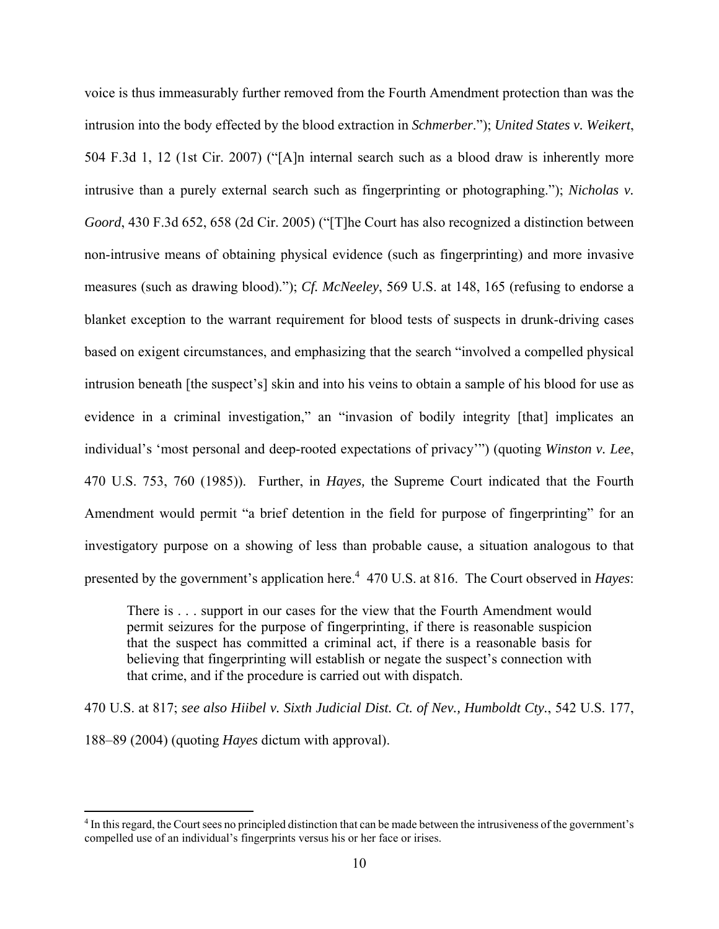voice is thus immeasurably further removed from the Fourth Amendment protection than was the intrusion into the body effected by the blood extraction in *Schmerber*."); *United States v. Weikert*, 504 F.3d 1, 12 (1st Cir. 2007) ("[A]n internal search such as a blood draw is inherently more intrusive than a purely external search such as fingerprinting or photographing."); *Nicholas v. Goord*, 430 F.3d 652, 658 (2d Cir. 2005) ("[T]he Court has also recognized a distinction between non-intrusive means of obtaining physical evidence (such as fingerprinting) and more invasive measures (such as drawing blood)."); *Cf. McNeeley*, 569 U.S. at 148, 165 (refusing to endorse a blanket exception to the warrant requirement for blood tests of suspects in drunk-driving cases based on exigent circumstances, and emphasizing that the search "involved a compelled physical intrusion beneath [the suspect's] skin and into his veins to obtain a sample of his blood for use as evidence in a criminal investigation," an "invasion of bodily integrity [that] implicates an individual's 'most personal and deep-rooted expectations of privacy'") (quoting *Winston v. Lee*, 470 U.S. 753, 760 (1985)). Further, in *Hayes,* the Supreme Court indicated that the Fourth Amendment would permit "a brief detention in the field for purpose of fingerprinting" for an investigatory purpose on a showing of less than probable cause, a situation analogous to that presented by the government's application here.<sup>4</sup> 470 U.S. at 816. The Court observed in *Hayes*:

There is . . . support in our cases for the view that the Fourth Amendment would permit seizures for the purpose of fingerprinting, if there is reasonable suspicion that the suspect has committed a criminal act, if there is a reasonable basis for believing that fingerprinting will establish or negate the suspect's connection with that crime, and if the procedure is carried out with dispatch.

470 U.S. at 817; *see also Hiibel v. Sixth Judicial Dist. Ct. of Nev., Humboldt Cty.*, 542 U.S. 177,

188–89 (2004) (quoting *Hayes* dictum with approval).

<sup>4</sup> In this regard, the Court sees no principled distinction that can be made between the intrusiveness of the government's compelled use of an individual's fingerprints versus his or her face or irises.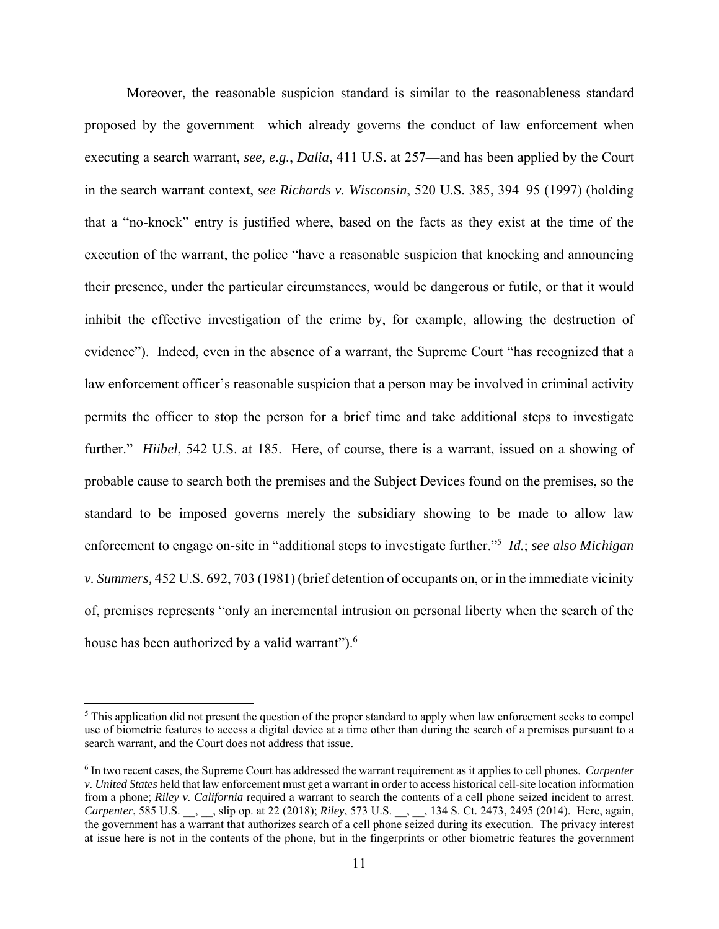Moreover, the reasonable suspicion standard is similar to the reasonableness standard proposed by the government—which already governs the conduct of law enforcement when executing a search warrant, *see, e.g.*, *Dalia*, 411 U.S. at 257—and has been applied by the Court in the search warrant context, *see Richards v. Wisconsin*, 520 U.S. 385, 394–95 (1997) (holding that a "no-knock" entry is justified where, based on the facts as they exist at the time of the execution of the warrant, the police "have a reasonable suspicion that knocking and announcing their presence, under the particular circumstances, would be dangerous or futile, or that it would inhibit the effective investigation of the crime by, for example, allowing the destruction of evidence"). Indeed, even in the absence of a warrant, the Supreme Court "has recognized that a law enforcement officer's reasonable suspicion that a person may be involved in criminal activity permits the officer to stop the person for a brief time and take additional steps to investigate further." *Hiibel*, 542 U.S. at 185. Here, of course, there is a warrant, issued on a showing of probable cause to search both the premises and the Subject Devices found on the premises, so the standard to be imposed governs merely the subsidiary showing to be made to allow law enforcement to engage on-site in "additional steps to investigate further."<sup>5</sup> *Id.*; *see also Michigan v. Summers,* 452 U.S. 692, 703 (1981) (brief detention of occupants on, or in the immediate vicinity of, premises represents "only an incremental intrusion on personal liberty when the search of the house has been authorized by a valid warrant").<sup>6</sup>

<sup>&</sup>lt;sup>5</sup> This application did not present the question of the proper standard to apply when law enforcement seeks to compel use of biometric features to access a digital device at a time other than during the search of a premises pursuant to a search warrant, and the Court does not address that issue.

<sup>6</sup> In two recent cases, the Supreme Court has addressed the warrant requirement as it applies to cell phones. *Carpenter v. United States* held that law enforcement must get a warrant in order to access historical cell-site location information from a phone; *Riley v. California* required a warrant to search the contents of a cell phone seized incident to arrest. *Carpenter*, 585 U.S. \_\_, \_\_, slip op. at 22 (2018); *Riley*, 573 U.S. \_\_, \_\_, 134 S. Ct. 2473, 2495 (2014). Here, again, the government has a warrant that authorizes search of a cell phone seized during its execution. The privacy interest at issue here is not in the contents of the phone, but in the fingerprints or other biometric features the government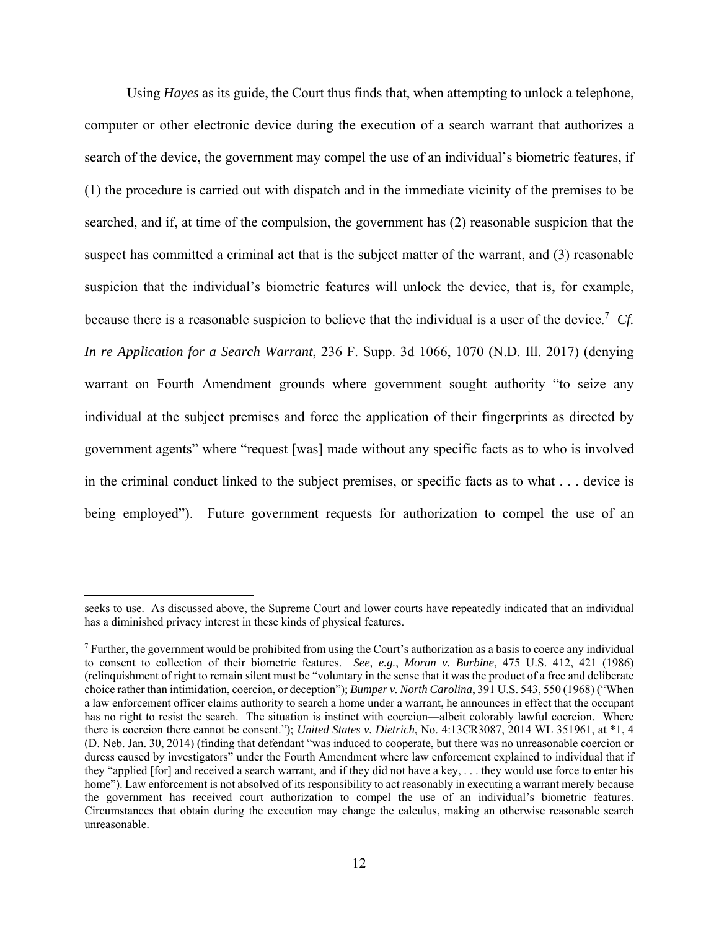Using *Hayes* as its guide, the Court thus finds that, when attempting to unlock a telephone, computer or other electronic device during the execution of a search warrant that authorizes a search of the device, the government may compel the use of an individual's biometric features, if (1) the procedure is carried out with dispatch and in the immediate vicinity of the premises to be searched, and if, at time of the compulsion, the government has (2) reasonable suspicion that the suspect has committed a criminal act that is the subject matter of the warrant, and (3) reasonable suspicion that the individual's biometric features will unlock the device, that is, for example, because there is a reasonable suspicion to believe that the individual is a user of the device.7 *Cf. In re Application for a Search Warrant*, 236 F. Supp. 3d 1066, 1070 (N.D. Ill. 2017) (denying warrant on Fourth Amendment grounds where government sought authority "to seize any individual at the subject premises and force the application of their fingerprints as directed by government agents" where "request [was] made without any specific facts as to who is involved in the criminal conduct linked to the subject premises, or specific facts as to what . . . device is being employed"). Future government requests for authorization to compel the use of an

seeks to use. As discussed above, the Supreme Court and lower courts have repeatedly indicated that an individual has a diminished privacy interest in these kinds of physical features.

<sup>&</sup>lt;sup>7</sup> Further, the government would be prohibited from using the Court's authorization as a basis to coerce any individual to consent to collection of their biometric features. *See, e.g.*, *Moran v. Burbine*, 475 U.S. 412, 421 (1986) (relinquishment of right to remain silent must be "voluntary in the sense that it was the product of a free and deliberate choice rather than intimidation, coercion, or deception"); *Bumper v. North Carolina*, 391 U.S. 543, 550 (1968) ("When a law enforcement officer claims authority to search a home under a warrant, he announces in effect that the occupant has no right to resist the search. The situation is instinct with coercion—albeit colorably lawful coercion. Where there is coercion there cannot be consent."); *United States v. Dietrich*, No. 4:13CR3087, 2014 WL 351961, at \*1, 4 (D. Neb. Jan. 30, 2014) (finding that defendant "was induced to cooperate, but there was no unreasonable coercion or duress caused by investigators" under the Fourth Amendment where law enforcement explained to individual that if they "applied [for] and received a search warrant, and if they did not have a key, . . . they would use force to enter his home"). Law enforcement is not absolved of its responsibility to act reasonably in executing a warrant merely because the government has received court authorization to compel the use of an individual's biometric features. Circumstances that obtain during the execution may change the calculus, making an otherwise reasonable search unreasonable.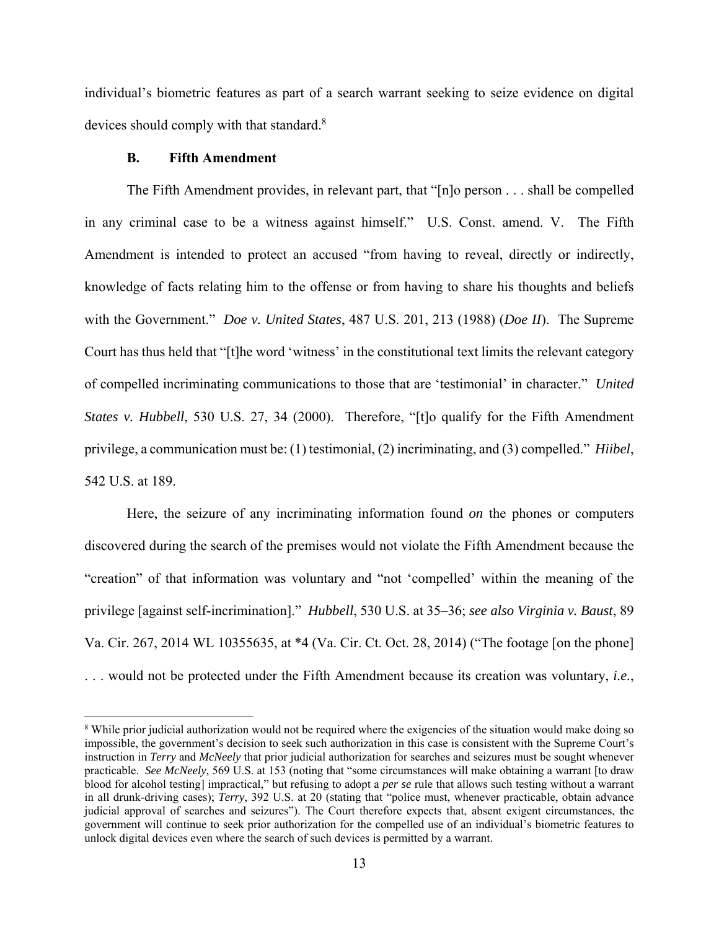individual's biometric features as part of a search warrant seeking to seize evidence on digital devices should comply with that standard.<sup>8</sup>

# **B. Fifth Amendment**

The Fifth Amendment provides, in relevant part, that "[n]o person . . . shall be compelled in any criminal case to be a witness against himself." U.S. Const. amend. V. The Fifth Amendment is intended to protect an accused "from having to reveal, directly or indirectly, knowledge of facts relating him to the offense or from having to share his thoughts and beliefs with the Government." *Doe v. United States*, 487 U.S. 201, 213 (1988) (*Doe II*). The Supreme Court has thus held that "[t]he word 'witness' in the constitutional text limits the relevant category of compelled incriminating communications to those that are 'testimonial' in character." *United States v. Hubbell*, 530 U.S. 27, 34 (2000). Therefore, "[t]o qualify for the Fifth Amendment privilege, a communication must be: (1) testimonial, (2) incriminating, and (3) compelled." *Hiibel*, 542 U.S. at 189.

Here, the seizure of any incriminating information found *on* the phones or computers discovered during the search of the premises would not violate the Fifth Amendment because the "creation" of that information was voluntary and "not 'compelled' within the meaning of the privilege [against self-incrimination]." *Hubbell*, 530 U.S. at 35–36; *see also Virginia v. Baust*, 89 Va. Cir. 267, 2014 WL 10355635, at \*4 (Va. Cir. Ct. Oct. 28, 2014) ("The footage [on the phone] . . . would not be protected under the Fifth Amendment because its creation was voluntary, *i.e.*,

<sup>&</sup>lt;sup>8</sup> While prior judicial authorization would not be required where the exigencies of the situation would make doing so impossible, the government's decision to seek such authorization in this case is consistent with the Supreme Court's instruction in *Terry* and *McNeely* that prior judicial authorization for searches and seizures must be sought whenever practicable. *See McNeely*, 569 U.S. at 153 (noting that "some circumstances will make obtaining a warrant [to draw blood for alcohol testing] impractical," but refusing to adopt a *per se* rule that allows such testing without a warrant in all drunk-driving cases); *Terry*, 392 U.S. at 20 (stating that "police must, whenever practicable, obtain advance judicial approval of searches and seizures"). The Court therefore expects that, absent exigent circumstances, the government will continue to seek prior authorization for the compelled use of an individual's biometric features to unlock digital devices even where the search of such devices is permitted by a warrant.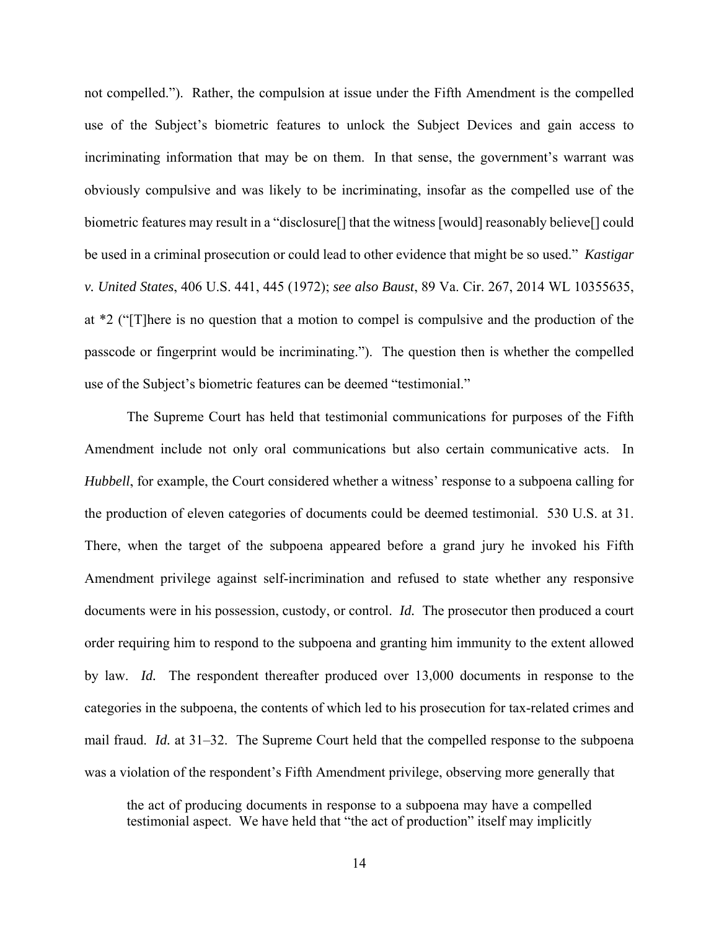not compelled."). Rather, the compulsion at issue under the Fifth Amendment is the compelled use of the Subject's biometric features to unlock the Subject Devices and gain access to incriminating information that may be on them. In that sense, the government's warrant was obviously compulsive and was likely to be incriminating, insofar as the compelled use of the biometric features may result in a "disclosure[] that the witness [would] reasonably believe[] could be used in a criminal prosecution or could lead to other evidence that might be so used." *Kastigar v. United States*, 406 U.S. 441, 445 (1972); *see also Baust*, 89 Va. Cir. 267, 2014 WL 10355635, at \*2 ("[T]here is no question that a motion to compel is compulsive and the production of the passcode or fingerprint would be incriminating."). The question then is whether the compelled use of the Subject's biometric features can be deemed "testimonial."

The Supreme Court has held that testimonial communications for purposes of the Fifth Amendment include not only oral communications but also certain communicative acts. In *Hubbell*, for example, the Court considered whether a witness' response to a subpoena calling for the production of eleven categories of documents could be deemed testimonial. 530 U.S. at 31. There, when the target of the subpoena appeared before a grand jury he invoked his Fifth Amendment privilege against self-incrimination and refused to state whether any responsive documents were in his possession, custody, or control. *Id.* The prosecutor then produced a court order requiring him to respond to the subpoena and granting him immunity to the extent allowed by law. *Id.* The respondent thereafter produced over 13,000 documents in response to the categories in the subpoena, the contents of which led to his prosecution for tax-related crimes and mail fraud. *Id.* at 31–32. The Supreme Court held that the compelled response to the subpoena was a violation of the respondent's Fifth Amendment privilege, observing more generally that

the act of producing documents in response to a subpoena may have a compelled testimonial aspect. We have held that "the act of production" itself may implicitly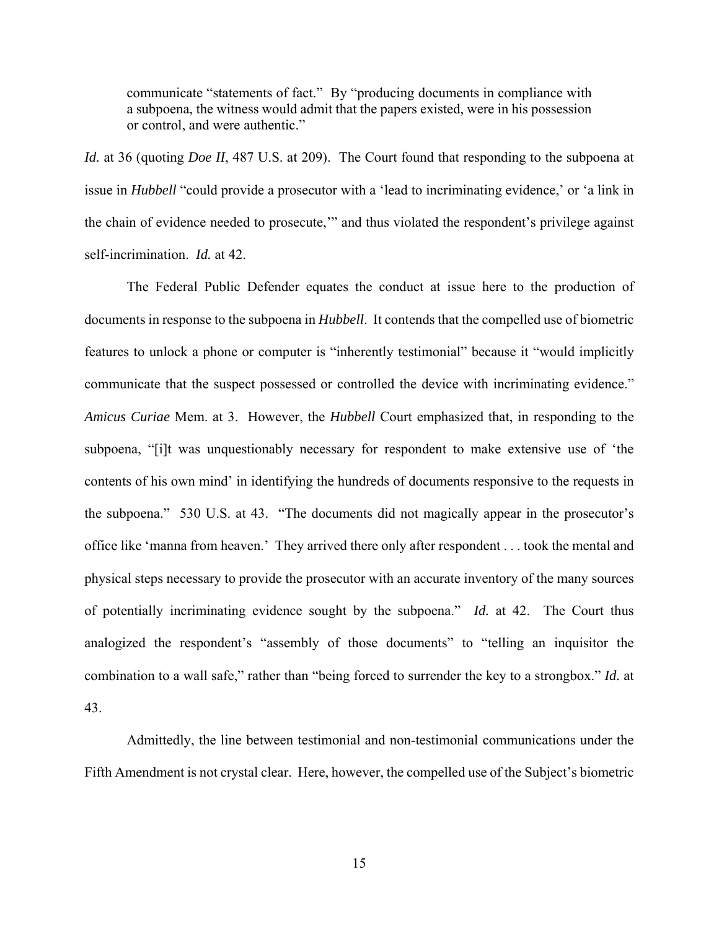communicate "statements of fact." By "producing documents in compliance with a subpoena, the witness would admit that the papers existed, were in his possession or control, and were authentic."

*Id.* at 36 (quoting *Doe II*, 487 U.S. at 209). The Court found that responding to the subpoena at issue in *Hubbell* "could provide a prosecutor with a 'lead to incriminating evidence,' or 'a link in the chain of evidence needed to prosecute,'" and thus violated the respondent's privilege against self-incrimination. *Id.* at 42.

 The Federal Public Defender equates the conduct at issue here to the production of documents in response to the subpoena in *Hubbell*. It contends that the compelled use of biometric features to unlock a phone or computer is "inherently testimonial" because it "would implicitly communicate that the suspect possessed or controlled the device with incriminating evidence." *Amicus Curiae* Mem. at 3. However, the *Hubbell* Court emphasized that, in responding to the subpoena, "[i]t was unquestionably necessary for respondent to make extensive use of 'the contents of his own mind' in identifying the hundreds of documents responsive to the requests in the subpoena." 530 U.S. at 43. "The documents did not magically appear in the prosecutor's office like 'manna from heaven.' They arrived there only after respondent . . . took the mental and physical steps necessary to provide the prosecutor with an accurate inventory of the many sources of potentially incriminating evidence sought by the subpoena." *Id.* at 42. The Court thus analogized the respondent's "assembly of those documents" to "telling an inquisitor the combination to a wall safe," rather than "being forced to surrender the key to a strongbox." *Id.* at 43.

 Admittedly, the line between testimonial and non-testimonial communications under the Fifth Amendment is not crystal clear. Here, however, the compelled use of the Subject's biometric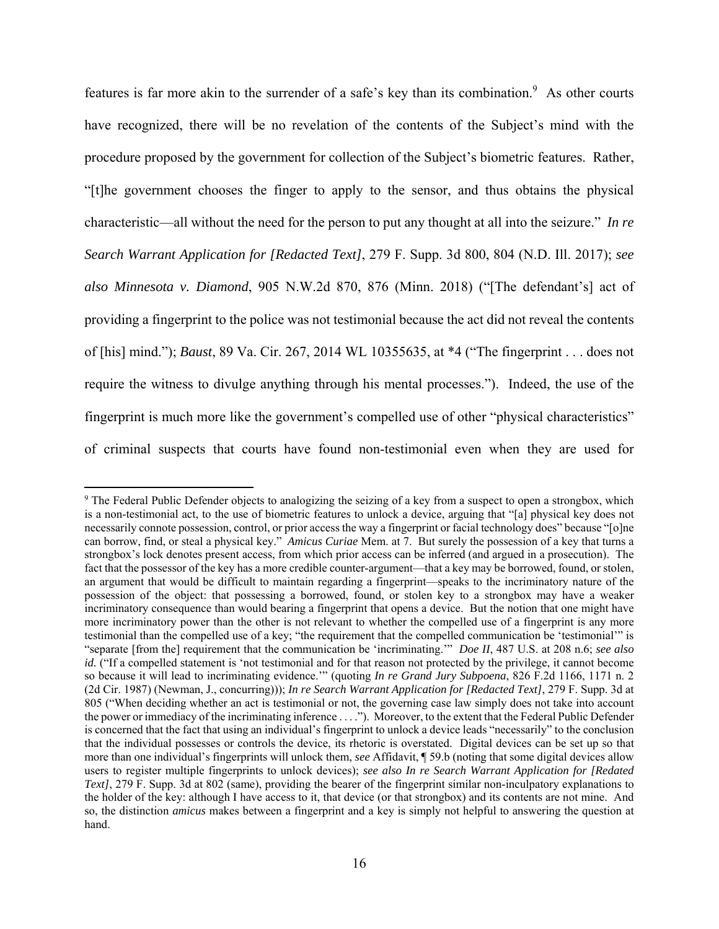features is far more akin to the surrender of a safe's key than its combination.<sup>9</sup> As other courts have recognized, there will be no revelation of the contents of the Subject's mind with the procedure proposed by the government for collection of the Subject's biometric features. Rather, "[t]he government chooses the finger to apply to the sensor, and thus obtains the physical characteristic—all without the need for the person to put any thought at all into the seizure." *In re Search Warrant Application for [Redacted Text]*, 279 F. Supp. 3d 800, 804 (N.D. Ill. 2017); *see also Minnesota v. Diamond*, 905 N.W.2d 870, 876 (Minn. 2018) ("[The defendant's] act of providing a fingerprint to the police was not testimonial because the act did not reveal the contents of [his] mind."); *Baust*, 89 Va. Cir. 267, 2014 WL 10355635, at \*4 ("The fingerprint . . . does not require the witness to divulge anything through his mental processes."). Indeed, the use of the fingerprint is much more like the government's compelled use of other "physical characteristics" of criminal suspects that courts have found non-testimonial even when they are used for

<sup>&</sup>lt;sup>9</sup> The Federal Public Defender objects to analogizing the seizing of a key from a suspect to open a strongbox, which is a non-testimonial act, to the use of biometric features to unlock a device, arguing that "[a] physical key does not necessarily connote possession, control, or prior access the way a fingerprint or facial technology does" because "[o]ne can borrow, find, or steal a physical key." *Amicus Curiae* Mem. at 7. But surely the possession of a key that turns a strongbox's lock denotes present access, from which prior access can be inferred (and argued in a prosecution). The fact that the possessor of the key has a more credible counter-argument—that a key may be borrowed, found, or stolen, an argument that would be difficult to maintain regarding a fingerprint—speaks to the incriminatory nature of the possession of the object: that possessing a borrowed, found, or stolen key to a strongbox may have a weaker incriminatory consequence than would bearing a fingerprint that opens a device. But the notion that one might have more incriminatory power than the other is not relevant to whether the compelled use of a fingerprint is any more testimonial than the compelled use of a key; "the requirement that the compelled communication be 'testimonial'" is "separate [from the] requirement that the communication be 'incriminating.'" *Doe II*, 487 U.S. at 208 n.6; *see also id.* ("If a compelled statement is 'not testimonial and for that reason not protected by the privilege, it cannot become so because it will lead to incriminating evidence.'" (quoting *In re Grand Jury Subpoena*, 826 F.2d 1166, 1171 n. 2 (2d Cir. 1987) (Newman, J., concurring))); *In re Search Warrant Application for [Redacted Text]*, 279 F. Supp. 3d at 805 ("When deciding whether an act is testimonial or not, the governing case law simply does not take into account the power or immediacy of the incriminating inference . . . ."). Moreover, to the extent that the Federal Public Defender is concerned that the fact that using an individual's fingerprint to unlock a device leads "necessarily" to the conclusion that the individual possesses or controls the device, its rhetoric is overstated. Digital devices can be set up so that more than one individual's fingerprints will unlock them, *see* Affidavit, ¶ 59.b (noting that some digital devices allow users to register multiple fingerprints to unlock devices); *see also In re Search Warrant Application for [Redated Text]*, 279 F. Supp. 3d at 802 (same), providing the bearer of the fingerprint similar non-inculpatory explanations to the holder of the key: although I have access to it, that device (or that strongbox) and its contents are not mine. And so, the distinction *amicus* makes between a fingerprint and a key is simply not helpful to answering the question at hand.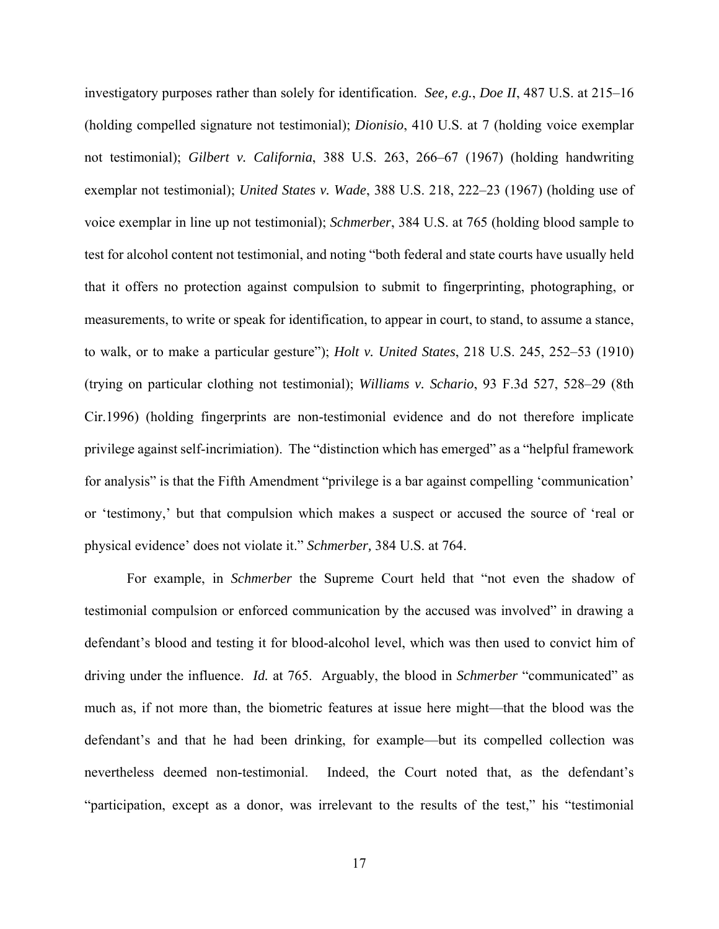investigatory purposes rather than solely for identification. *See, e.g.*, *Doe II*, 487 U.S. at 215–16 (holding compelled signature not testimonial); *Dionisio*, 410 U.S. at 7 (holding voice exemplar not testimonial); *Gilbert v. California*, 388 U.S. 263, 266–67 (1967) (holding handwriting exemplar not testimonial); *United States v. Wade*, 388 U.S. 218, 222–23 (1967) (holding use of voice exemplar in line up not testimonial); *Schmerber*, 384 U.S. at 765 (holding blood sample to test for alcohol content not testimonial, and noting "both federal and state courts have usually held that it offers no protection against compulsion to submit to fingerprinting, photographing, or measurements, to write or speak for identification, to appear in court, to stand, to assume a stance, to walk, or to make a particular gesture"); *Holt v. United States*, 218 U.S. 245, 252–53 (1910) (trying on particular clothing not testimonial); *Williams v. Schario*, 93 F.3d 527, 528–29 (8th Cir.1996) (holding fingerprints are non-testimonial evidence and do not therefore implicate privilege against self-incrimiation). The "distinction which has emerged" as a "helpful framework for analysis" is that the Fifth Amendment "privilege is a bar against compelling 'communication' or 'testimony,' but that compulsion which makes a suspect or accused the source of 'real or physical evidence' does not violate it." *Schmerber,* 384 U.S. at 764.

For example, in *Schmerber* the Supreme Court held that "not even the shadow of testimonial compulsion or enforced communication by the accused was involved" in drawing a defendant's blood and testing it for blood-alcohol level, which was then used to convict him of driving under the influence. *Id.* at 765. Arguably, the blood in *Schmerber* "communicated" as much as, if not more than, the biometric features at issue here might—that the blood was the defendant's and that he had been drinking, for example—but its compelled collection was nevertheless deemed non-testimonial. Indeed, the Court noted that, as the defendant's "participation, except as a donor, was irrelevant to the results of the test," his "testimonial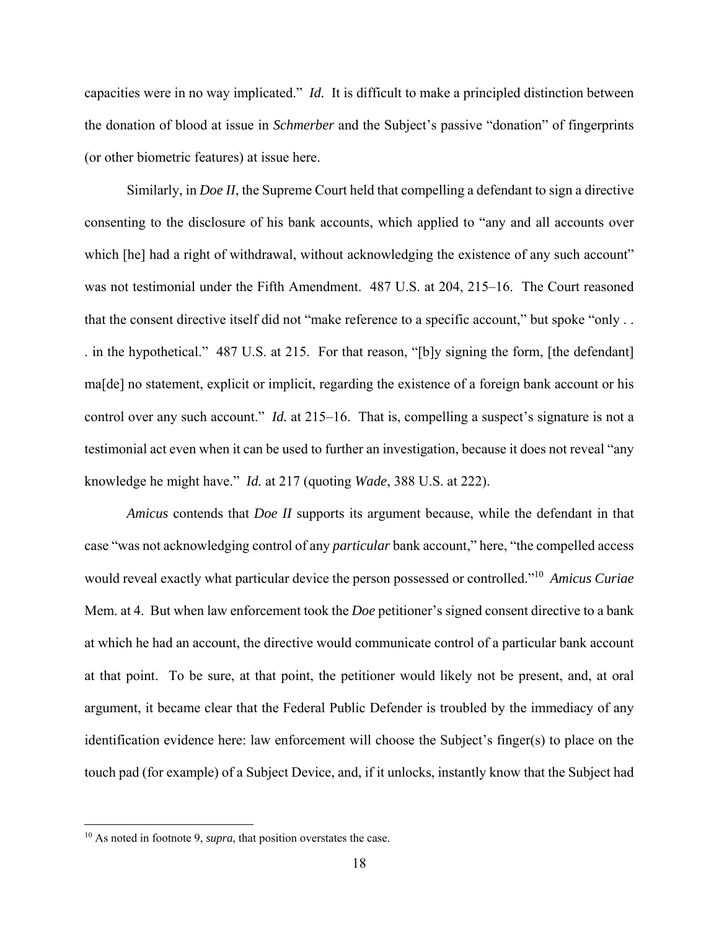capacities were in no way implicated." *Id.* It is difficult to make a principled distinction between the donation of blood at issue in *Schmerber* and the Subject's passive "donation" of fingerprints (or other biometric features) at issue here.

Similarly, in *Doe II*, the Supreme Court held that compelling a defendant to sign a directive consenting to the disclosure of his bank accounts, which applied to "any and all accounts over which [he] had a right of withdrawal, without acknowledging the existence of any such account" was not testimonial under the Fifth Amendment. 487 U.S. at 204, 215–16. The Court reasoned that the consent directive itself did not "make reference to a specific account," but spoke "only . . . in the hypothetical." 487 U.S. at 215. For that reason, "[b]y signing the form, [the defendant] ma[de] no statement, explicit or implicit, regarding the existence of a foreign bank account or his control over any such account." *Id.* at 215–16. That is, compelling a suspect's signature is not a testimonial act even when it can be used to further an investigation, because it does not reveal "any knowledge he might have." *Id.* at 217 (quoting *Wade*, 388 U.S. at 222).

*Amicus* contends that *Doe II* supports its argument because, while the defendant in that case "was not acknowledging control of any *particular* bank account," here, "the compelled access would reveal exactly what particular device the person possessed or controlled."10 *Amicus Curiae* Mem. at 4. But when law enforcement took the *Doe* petitioner's signed consent directive to a bank at which he had an account, the directive would communicate control of a particular bank account at that point. To be sure, at that point, the petitioner would likely not be present, and, at oral argument, it became clear that the Federal Public Defender is troubled by the immediacy of any identification evidence here: law enforcement will choose the Subject's finger(s) to place on the touch pad (for example) of a Subject Device, and, if it unlocks, instantly know that the Subject had

<sup>10</sup> As noted in footnote 9, *supra*, that position overstates the case.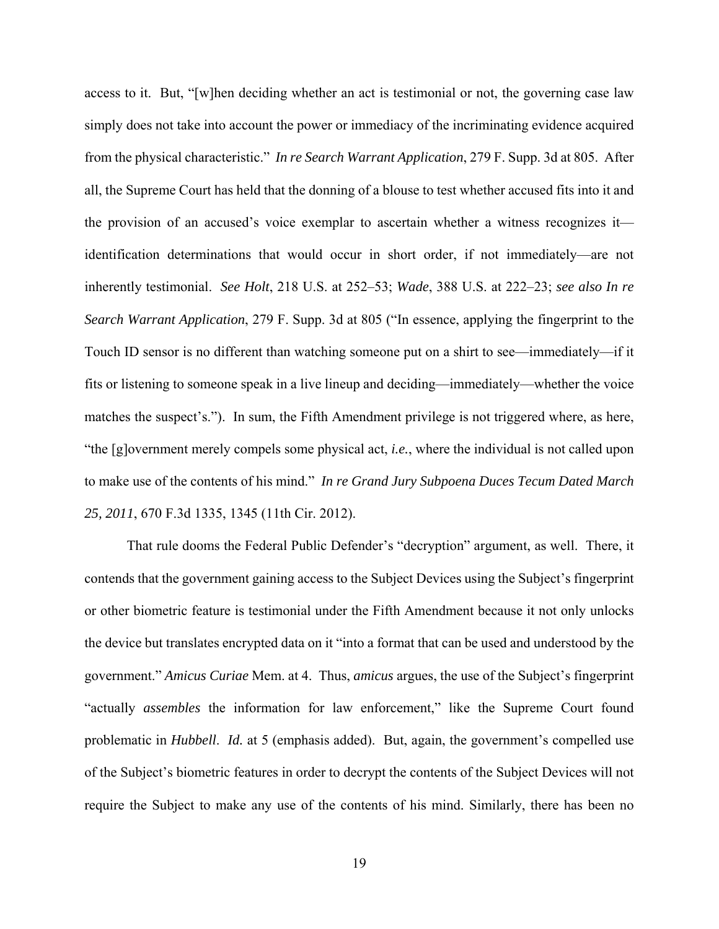access to it. But, "[w]hen deciding whether an act is testimonial or not, the governing case law simply does not take into account the power or immediacy of the incriminating evidence acquired from the physical characteristic." *In re Search Warrant Application*, 279 F. Supp. 3d at 805. After all, the Supreme Court has held that the donning of a blouse to test whether accused fits into it and the provision of an accused's voice exemplar to ascertain whether a witness recognizes it identification determinations that would occur in short order, if not immediately—are not inherently testimonial. *See Holt*, 218 U.S. at 252–53; *Wade*, 388 U.S. at 222–23; *see also In re Search Warrant Application*, 279 F. Supp. 3d at 805 ("In essence, applying the fingerprint to the Touch ID sensor is no different than watching someone put on a shirt to see—immediately—if it fits or listening to someone speak in a live lineup and deciding—immediately—whether the voice matches the suspect's."). In sum, the Fifth Amendment privilege is not triggered where, as here, "the [g]overnment merely compels some physical act, *i.e.*, where the individual is not called upon to make use of the contents of his mind." *In re Grand Jury Subpoena Duces Tecum Dated March 25, 2011*, 670 F.3d 1335, 1345 (11th Cir. 2012).

That rule dooms the Federal Public Defender's "decryption" argument, as well. There, it contends that the government gaining access to the Subject Devices using the Subject's fingerprint or other biometric feature is testimonial under the Fifth Amendment because it not only unlocks the device but translates encrypted data on it "into a format that can be used and understood by the government." *Amicus Curiae* Mem. at 4. Thus, *amicus* argues, the use of the Subject's fingerprint "actually *assembles* the information for law enforcement," like the Supreme Court found problematic in *Hubbell*. *Id.* at 5 (emphasis added). But, again, the government's compelled use of the Subject's biometric features in order to decrypt the contents of the Subject Devices will not require the Subject to make any use of the contents of his mind. Similarly, there has been no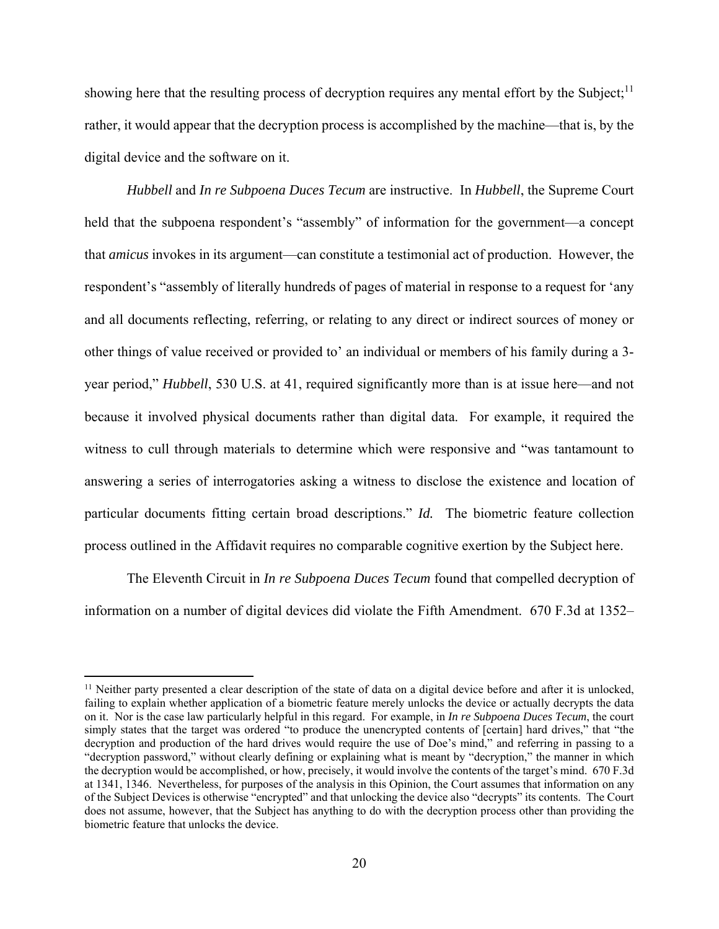showing here that the resulting process of decryption requires any mental effort by the Subject;<sup>11</sup> rather, it would appear that the decryption process is accomplished by the machine—that is, by the digital device and the software on it.

*Hubbell* and *In re Subpoena Duces Tecum* are instructive. In *Hubbell*, the Supreme Court held that the subpoena respondent's "assembly" of information for the government—a concept that *amicus* invokes in its argument—can constitute a testimonial act of production. However, the respondent's "assembly of literally hundreds of pages of material in response to a request for 'any and all documents reflecting, referring, or relating to any direct or indirect sources of money or other things of value received or provided to' an individual or members of his family during a 3 year period," *Hubbell*, 530 U.S. at 41, required significantly more than is at issue here—and not because it involved physical documents rather than digital data. For example, it required the witness to cull through materials to determine which were responsive and "was tantamount to answering a series of interrogatories asking a witness to disclose the existence and location of particular documents fitting certain broad descriptions." *Id.* The biometric feature collection process outlined in the Affidavit requires no comparable cognitive exertion by the Subject here.

The Eleventh Circuit in *In re Subpoena Duces Tecum* found that compelled decryption of information on a number of digital devices did violate the Fifth Amendment. 670 F.3d at 1352–

<sup>&</sup>lt;sup>11</sup> Neither party presented a clear description of the state of data on a digital device before and after it is unlocked, failing to explain whether application of a biometric feature merely unlocks the device or actually decrypts the data on it. Nor is the case law particularly helpful in this regard. For example, in *In re Subpoena Duces Tecum*, the court simply states that the target was ordered "to produce the unencrypted contents of [certain] hard drives," that "the decryption and production of the hard drives would require the use of Doe's mind," and referring in passing to a "decryption password," without clearly defining or explaining what is meant by "decryption," the manner in which the decryption would be accomplished, or how, precisely, it would involve the contents of the target's mind. 670 F.3d at 1341, 1346. Nevertheless, for purposes of the analysis in this Opinion, the Court assumes that information on any of the Subject Devices is otherwise "encrypted" and that unlocking the device also "decrypts" its contents. The Court does not assume, however, that the Subject has anything to do with the decryption process other than providing the biometric feature that unlocks the device.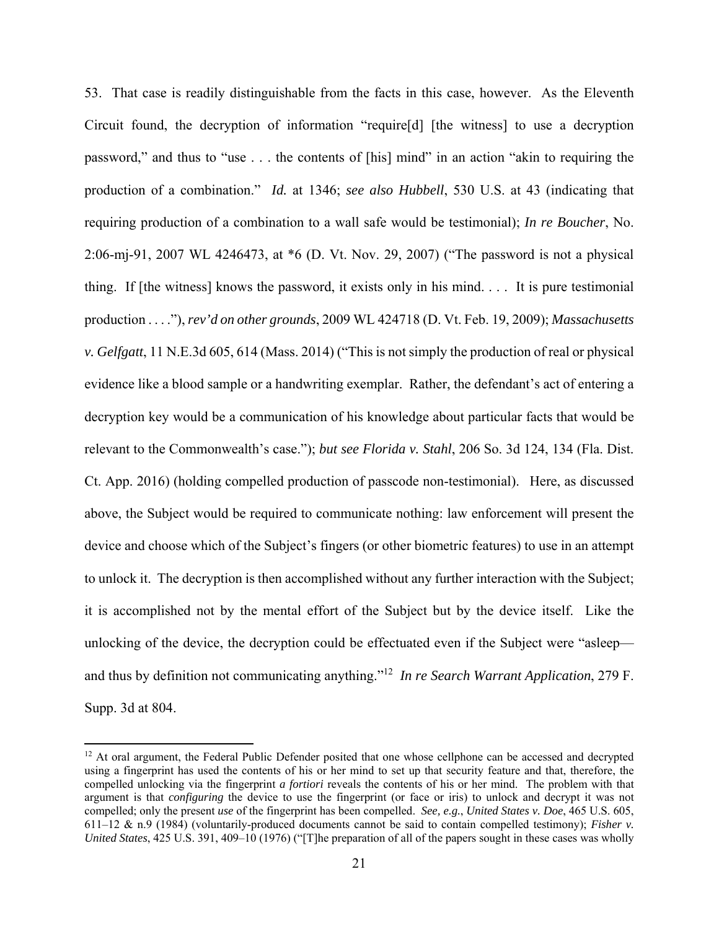53. That case is readily distinguishable from the facts in this case, however. As the Eleventh Circuit found, the decryption of information "require[d] [the witness] to use a decryption password," and thus to "use . . . the contents of [his] mind" in an action "akin to requiring the production of a combination." *Id.* at 1346; *see also Hubbell*, 530 U.S. at 43 (indicating that requiring production of a combination to a wall safe would be testimonial); *In re Boucher*, No. 2:06-mj-91, 2007 WL 4246473, at \*6 (D. Vt. Nov. 29, 2007) ("The password is not a physical thing. If [the witness] knows the password, it exists only in his mind. . . . It is pure testimonial production . . . ."), *rev'd on other grounds*, 2009 WL 424718 (D. Vt. Feb. 19, 2009); *Massachusetts v. Gelfgatt*, 11 N.E.3d 605, 614 (Mass. 2014) ("This is not simply the production of real or physical evidence like a blood sample or a handwriting exemplar. Rather, the defendant's act of entering a decryption key would be a communication of his knowledge about particular facts that would be relevant to the Commonwealth's case."); *but see Florida v. Stahl*, 206 So. 3d 124, 134 (Fla. Dist. Ct. App. 2016) (holding compelled production of passcode non-testimonial). Here, as discussed above, the Subject would be required to communicate nothing: law enforcement will present the device and choose which of the Subject's fingers (or other biometric features) to use in an attempt to unlock it. The decryption is then accomplished without any further interaction with the Subject; it is accomplished not by the mental effort of the Subject but by the device itself. Like the unlocking of the device, the decryption could be effectuated even if the Subject were "asleep and thus by definition not communicating anything."12 *In re Search Warrant Application*, 279 F. Supp. 3d at 804.

<sup>&</sup>lt;sup>12</sup> At oral argument, the Federal Public Defender posited that one whose cellphone can be accessed and decrypted using a fingerprint has used the contents of his or her mind to set up that security feature and that, therefore, the compelled unlocking via the fingerprint *a fortiori* reveals the contents of his or her mind. The problem with that argument is that *configuring* the device to use the fingerprint (or face or iris) to unlock and decrypt it was not compelled; only the present *use* of the fingerprint has been compelled. *See, e.g.*, *United States v. Doe*, 465 U.S. 605, 611–12 & n.9 (1984) (voluntarily-produced documents cannot be said to contain compelled testimony); *Fisher v. United States*, 425 U.S. 391, 409–10 (1976) ("[T]he preparation of all of the papers sought in these cases was wholly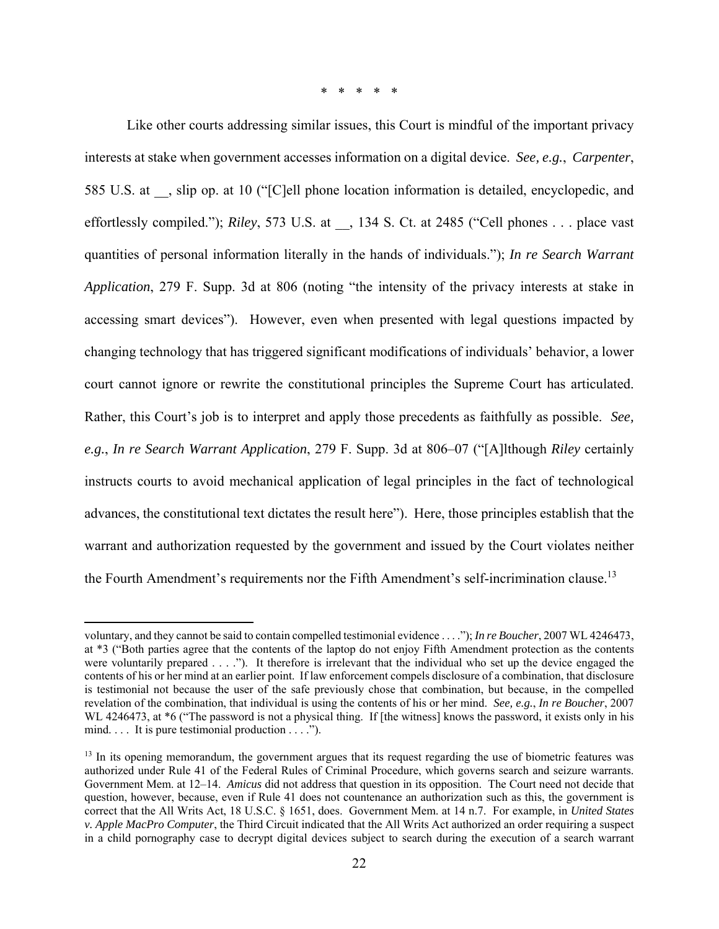\* \* \* \* \*

Like other courts addressing similar issues, this Court is mindful of the important privacy interests at stake when government accesses information on a digital device. *See, e.g.*, *Carpenter*, 585 U.S. at \_\_, slip op. at 10 ("[C]ell phone location information is detailed, encyclopedic, and effortlessly compiled."); *Riley*, 573 U.S. at \_\_, 134 S. Ct. at 2485 ("Cell phones . . . place vast quantities of personal information literally in the hands of individuals."); *In re Search Warrant Application*, 279 F. Supp. 3d at 806 (noting "the intensity of the privacy interests at stake in accessing smart devices"). However, even when presented with legal questions impacted by changing technology that has triggered significant modifications of individuals' behavior, a lower court cannot ignore or rewrite the constitutional principles the Supreme Court has articulated. Rather, this Court's job is to interpret and apply those precedents as faithfully as possible. *See, e.g.*, *In re Search Warrant Application*, 279 F. Supp. 3d at 806–07 ("[A]lthough *Riley* certainly instructs courts to avoid mechanical application of legal principles in the fact of technological advances, the constitutional text dictates the result here"). Here, those principles establish that the warrant and authorization requested by the government and issued by the Court violates neither the Fourth Amendment's requirements nor the Fifth Amendment's self-incrimination clause.<sup>13</sup>

voluntary, and they cannot be said to contain compelled testimonial evidence . . . ."); *In re Boucher*, 2007 WL 4246473, at \*3 ("Both parties agree that the contents of the laptop do not enjoy Fifth Amendment protection as the contents were voluntarily prepared . . . ."). It therefore is irrelevant that the individual who set up the device engaged the contents of his or her mind at an earlier point. If law enforcement compels disclosure of a combination, that disclosure is testimonial not because the user of the safe previously chose that combination, but because, in the compelled revelation of the combination, that individual is using the contents of his or her mind. *See, e.g.*, *In re Boucher*, 2007 WL 4246473, at  $*6$  ("The password is not a physical thing. If [the witness] knows the password, it exists only in his mind. . . . It is pure testimonial production . . . .").

<sup>&</sup>lt;sup>13</sup> In its opening memorandum, the government argues that its request regarding the use of biometric features was authorized under Rule 41 of the Federal Rules of Criminal Procedure, which governs search and seizure warrants. Government Mem. at 12–14. *Amicus* did not address that question in its opposition. The Court need not decide that question, however, because, even if Rule 41 does not countenance an authorization such as this, the government is correct that the All Writs Act, 18 U.S.C. § 1651, does. Government Mem. at 14 n.7. For example, in *United States v. Apple MacPro Computer*, the Third Circuit indicated that the All Writs Act authorized an order requiring a suspect in a child pornography case to decrypt digital devices subject to search during the execution of a search warrant